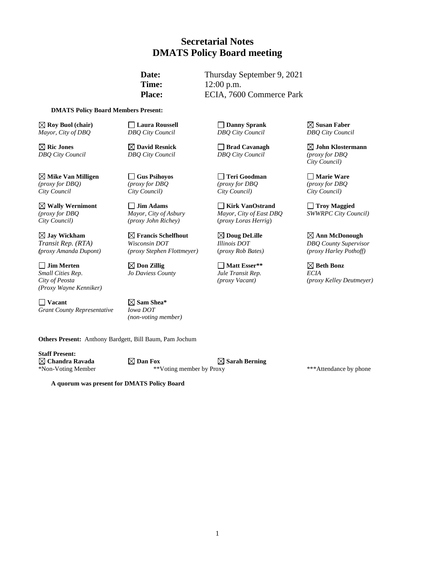# **Secretarial Notes DMATS Policy Board meeting**

**Date:** Thursday September 9, 2021 **Time:** 12:00 p.m. Place: ECIA, 7600 Commerce Park

#### **DMATS Policy Board Members Present:**

**Roy Buol (chair) Laura Roussell Danny Sprank Susan Faber** *Mayor, City of DBQ DBQ City Council DBQ City Council DBQ City Council*

**Mike Van Milligen Gus Psihoyos Teri Goodman Marie Ware** *(proxy for DBQ) (proxy for DBQ (proxy for DBQ (proxy for DBQ City Council City Council) City Council) City Council)*

**Jay Wickham Francis Schelfhout Doug DeLille Ann McDonough**

**Jim Merten Don Zillig Matt Esser\*\* Beth Bonz** *Small Cities Rep*. *Jo Daviess County Jule Transit Rep. ECIA (Proxy Wayne Kenniker)*

**Vacant Sam Shea\***  *Grant County Representative Iowa DOT*

*City Council) (proxy John Richey)* (*proxy Loras Herrig*)

*Transit Rep. (RTA) Wisconsin DOT Illinois DOT DBQ County Supervisor*

*(non-voting member)*

**Others Present:** Anthony Bardgett, Bill Baum, Pam Jochum

**Staff Present:**

**Chandra Ravada Dan Fox Sarah Berning** \*Non-Voting Member \*\*Voting member by Proxy \*\*\*Attendance by phone

**A quorum was present for DMATS Policy Board**

*DBQ City Council DBQ City Council DBQ City Council (proxy for DBQ*

**Nally Wernimont**<br> *Mayor, City of Asbury Mayor, City of East DBQ SWWRPC City Court of Asbury Mayor, City of East DBQ SWWRPC City Court of Asbury (proxy for DBQ Mayor, City of Asbury Mayor, City of East DBQ SWWRPC City Council)* 

**Ric Jones David Resnick Brad Cavanagh John Klostermann** *City Council)*

*(proxy Amanda Dupont) (proxy Stephen Flottmeyer)* (*proxy Rob Bates) (proxy Harley Pothoff)*

*City of Peosta (proxy Vacant) (proxy Kelley Deutmeyer)*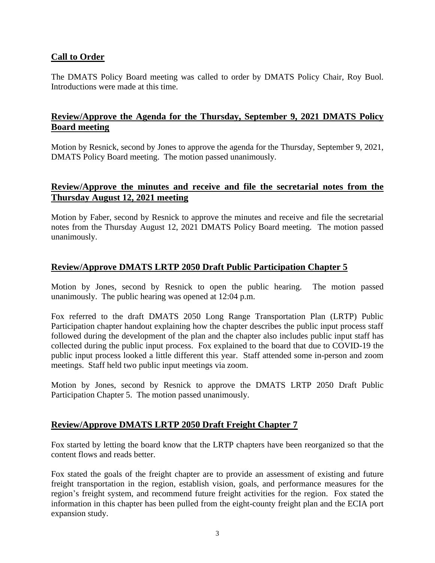# **Call to Order**

The DMATS Policy Board meeting was called to order by DMATS Policy Chair, Roy Buol. Introductions were made at this time.

# **Review/Approve the Agenda for the Thursday, September 9, 2021 DMATS Policy Board meeting**

Motion by Resnick, second by Jones to approve the agenda for the Thursday, September 9, 2021, DMATS Policy Board meeting. The motion passed unanimously.

## **Review/Approve the minutes and receive and file the secretarial notes from the Thursday August 12, 2021 meeting**

Motion by Faber, second by Resnick to approve the minutes and receive and file the secretarial notes from the Thursday August 12, 2021 DMATS Policy Board meeting. The motion passed unanimously.

## **Review/Approve DMATS LRTP 2050 Draft Public Participation Chapter 5**

Motion by Jones, second by Resnick to open the public hearing. The motion passed unanimously. The public hearing was opened at 12:04 p.m.

Fox referred to the draft DMATS 2050 Long Range Transportation Plan (LRTP) Public Participation chapter handout explaining how the chapter describes the public input process staff followed during the development of the plan and the chapter also includes public input staff has collected during the public input process. Fox explained to the board that due to COVID-19 the public input process looked a little different this year. Staff attended some in-person and zoom meetings. Staff held two public input meetings via zoom.

Motion by Jones, second by Resnick to approve the DMATS LRTP 2050 Draft Public Participation Chapter 5. The motion passed unanimously.

#### **Review/Approve DMATS LRTP 2050 Draft Freight Chapter 7**

Fox started by letting the board know that the LRTP chapters have been reorganized so that the content flows and reads better.

Fox stated the goals of the freight chapter are to provide an assessment of existing and future freight transportation in the region, establish vision, goals, and performance measures for the region's freight system, and recommend future freight activities for the region. Fox stated the information in this chapter has been pulled from the eight-county freight plan and the ECIA port expansion study.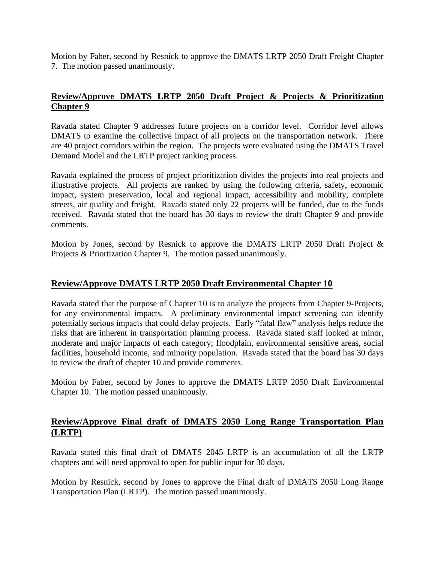Motion by Faber, second by Resnick to approve the DMATS LRTP 2050 Draft Freight Chapter 7. The motion passed unanimously.

## **Review/Approve DMATS LRTP 2050 Draft Project & Projects & Prioritization Chapter 9**

Ravada stated Chapter 9 addresses future projects on a corridor level. Corridor level allows DMATS to examine the collective impact of all projects on the transportation network. There are 40 project corridors within the region. The projects were evaluated using the DMATS Travel Demand Model and the LRTP project ranking process.

Ravada explained the process of project prioritization divides the projects into real projects and illustrative projects. All projects are ranked by using the following criteria, safety, economic impact, system preservation, local and regional impact, accessibility and mobility, complete streets, air quality and freight. Ravada stated only 22 projects will be funded, due to the funds received. Ravada stated that the board has 30 days to review the draft Chapter 9 and provide comments.

Motion by Jones, second by Resnick to approve the DMATS LRTP 2050 Draft Project & Projects & Priortization Chapter 9. The motion passed unanimously.

#### **Review/Approve DMATS LRTP 2050 Draft Environmental Chapter 10**

Ravada stated that the purpose of Chapter 10 is to analyze the projects from Chapter 9-Projects, for any environmental impacts. A preliminary environmental impact screening can identify potentially serious impacts that could delay projects. Early "fatal flaw" analysis helps reduce the risks that are inherent in transportation planning process. Ravada stated staff looked at minor, moderate and major impacts of each category; floodplain, environmental sensitive areas, social facilities, household income, and minority population. Ravada stated that the board has 30 days to review the draft of chapter 10 and provide comments.

Motion by Faber, second by Jones to approve the DMATS LRTP 2050 Draft Environmental Chapter 10. The motion passed unanimously.

## **Review/Approve Final draft of DMATS 2050 Long Range Transportation Plan (LRTP)**

Ravada stated this final draft of DMATS 2045 LRTP is an accumulation of all the LRTP chapters and will need approval to open for public input for 30 days.

Motion by Resnick, second by Jones to approve the Final draft of DMATS 2050 Long Range Transportation Plan (LRTP). The motion passed unanimously.